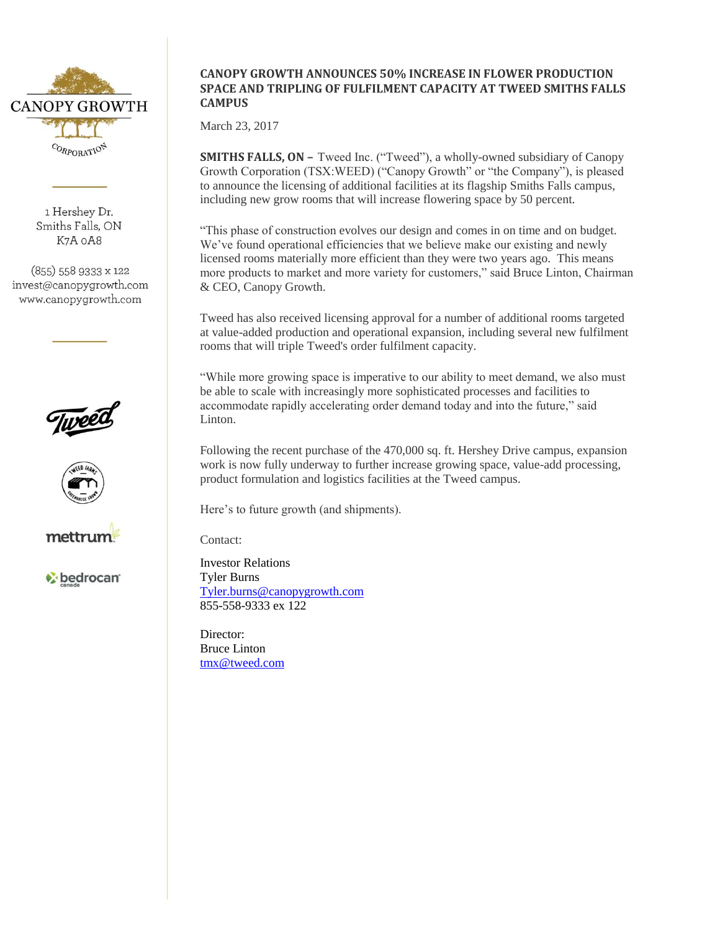

1 Hershev Dr. Smiths Falls, ON K7A oA8

(855) 558 9333 x 122 invest@canopygrowth.com www.canopygrowth.com





mettrur

bedrocan<sup>®</sup>

## **CANOPY GROWTH ANNOUNCES 50% INCREASE IN FLOWER PRODUCTION SPACE AND TRIPLING OF FULFILMENT CAPACITY AT TWEED SMITHS FALLS CAMPUS**

March 23, 2017

**SMITHS FALLS, ON –** Tweed Inc. ("Tweed"), a wholly-owned subsidiary of Canopy Growth Corporation (TSX:WEED) ("Canopy Growth" or "the Company"), is pleased to announce the licensing of additional facilities at its flagship Smiths Falls campus, including new grow rooms that will increase flowering space by 50 percent.

"This phase of construction evolves our design and comes in on time and on budget. We've found operational efficiencies that we believe make our existing and newly licensed rooms materially more efficient than they were two years ago. This means more products to market and more variety for customers," said Bruce Linton, Chairman & CEO, Canopy Growth.

Tweed has also received licensing approval for a number of additional rooms targeted at value-added production and operational expansion, including several new fulfilment rooms that will triple Tweed's order fulfilment capacity.

"While more growing space is imperative to our ability to meet demand, we also must be able to scale with increasingly more sophisticated processes and facilities to accommodate rapidly accelerating order demand today and into the future," said Linton.

Following the recent purchase of the 470,000 sq. ft. Hershey Drive campus, expansion work is now fully underway to further increase growing space, value-add processing, product formulation and logistics facilities at the Tweed campus.

Here's to future growth (and shipments).

Contact:

Investor Relations Tyler Burns [Tyler.burns@canopygrowth.com](mailto:Tyler.burns@canopygrowth.com) 855-558-9333 ex 122

Director: Bruce Linton [tmx@tweed.com](mailto:tmx@tweed.com)